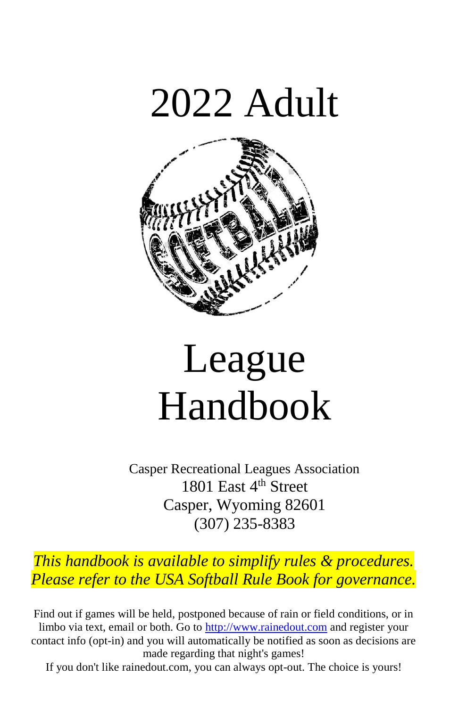



# League Handbook

Casper Recreational Leagues Association 1801 East 4<sup>th</sup> Street Casper, Wyoming 82601 (307) 235-8383

*This handbook is available to simplify rules & procedures. Please refer to the USA Softball Rule Book for governance.*

Find out if games will be held, postponed because of rain or field conditions, or in limbo via text, email or both. Go to [http://www.rainedout.com](http://www.rainedout.com/) and register your contact info (opt-in) and you will automatically be notified as soon as decisions are made regarding that night's games!

If you don't like rainedout.com, you can always opt-out. The choice is yours!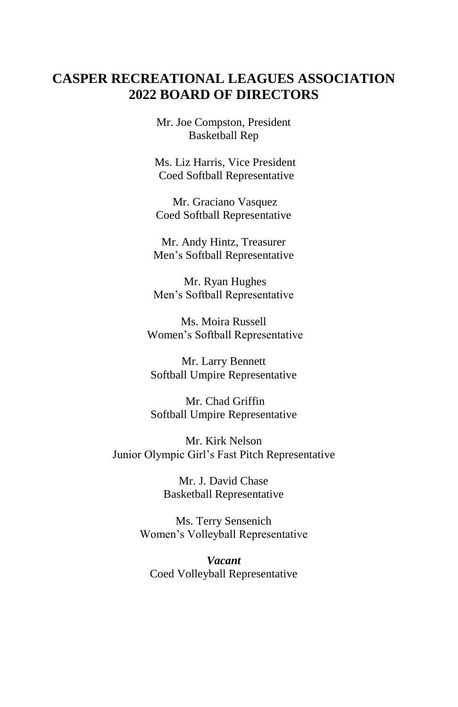#### **CASPER RECREATIONAL LEAGUES ASSOCIATION 2022 BOARD OF DIRECTORS**

Mr. Joe Compston, President Basketball Rep

Ms. Liz Harris, Vice President Coed Softball Representative

Mr. Graciano Vasquez Coed Softball Representative

Mr. Andy Hintz, Treasurer Men's Softball Representative

Mr. Ryan Hughes Men's Softball Representative

Ms. Moira Russell Women's Softball Representative

Mr. Larry Bennett Softball Umpire Representative

Mr. Chad Griffin Softball Umpire Representative

Mr. Kirk Nelson Junior Olympic Girl's Fast Pitch Representative

> Mr. J. David Chase Basketball Representative

Ms. Terry Sensenich Women's Volleyball Representative

*Vacant* Coed Volleyball Representative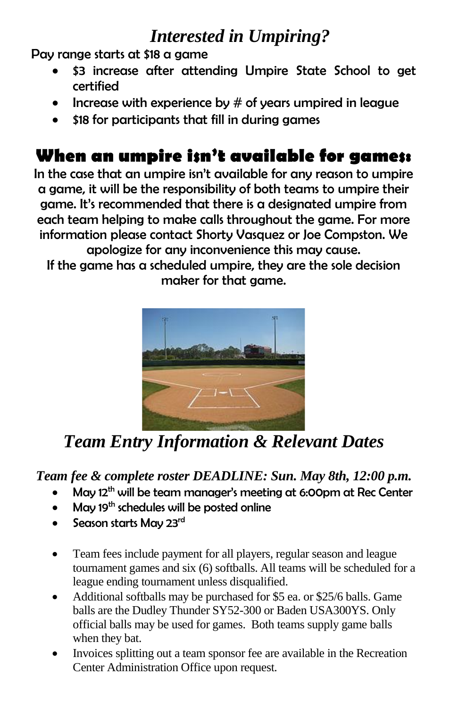## *Interested in Umpiring?*

Pay range starts at \$18 a game

- \$3 increase after attending Umpire State School to get certified
- Increase with experience by  $#$  of years umpired in league
- \$18 for participants that fill in during games

## **When an umpire isn't available for games:**

In the case that an umpire isn't available for any reason to umpire a game, it will be the responsibility of both teams to umpire their game. It's recommended that there is a designated umpire from each team helping to make calls throughout the game. For more information please contact Shorty Vasquez or Joe Compston. We apologize for any inconvenience this may cause.

If the game has a scheduled umpire, they are the sole decision maker for that game.



*Team Entry Information & Relevant Dates*

#### *Team fee & complete roster DEADLINE: Sun. May 8th, 12:00 p.m.*

- May 12<sup>th</sup> will be team manager's meeting at 6:00pm at Rec Center
- May 19th schedules will be posted online
- Season starts May 23rd
- Team fees include payment for all players, regular season and league tournament games and six (6) softballs. All teams will be scheduled for a league ending tournament unless disqualified.
- Additional softballs may be purchased for \$5 ea. or \$25/6 balls. Game balls are the Dudley Thunder SY52-300 or Baden USA300YS. Only official balls may be used for games. Both teams supply game balls when they bat.
- Invoices splitting out a team sponsor fee are available in the Recreation Center Administration Office upon request.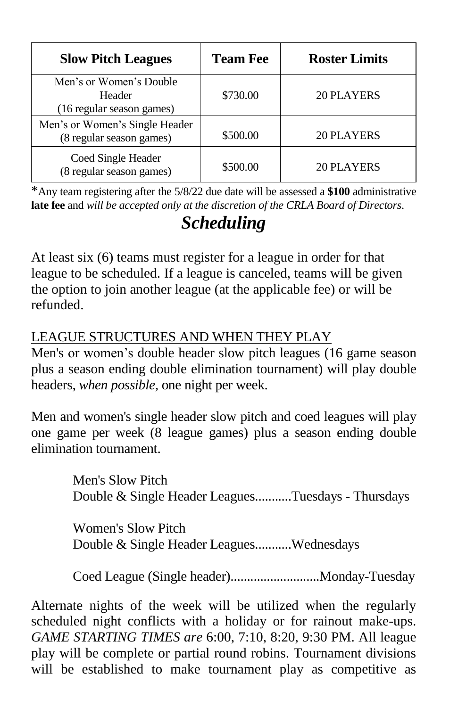| <b>Slow Pitch Leagues</b>                                      | <b>Team Fee</b> | <b>Roster Limits</b> |
|----------------------------------------------------------------|-----------------|----------------------|
| Men's or Women's Double<br>Header<br>(16 regular season games) | \$730.00        | 20 PLAYERS           |
| Men's or Women's Single Header<br>(8 regular season games)     | \$500.00        | 20 PLAYERS           |
| Coed Single Header<br>(8 regular season games)                 | \$500.00        | 20 PLAYERS           |

\*Any team registering after the 5/8/22 due date will be assessed a **\$100** administrative **late fee** and *will be accepted only at the discretion of the CRLA Board of Directors*.

## *Scheduling*

At least six (6) teams must register for a league in order for that league to be scheduled. If a league is canceled, teams will be given the option to join another league (at the applicable fee) or will be refunded.

### LEAGUE STRUCTURES AND WHEN THEY PLAY

Men's or women's double header slow pitch leagues (16 game season plus a season ending double elimination tournament) will play double headers, *when possible,* one night per week.

Men and women's single header slow pitch and coed leagues will play one game per week (8 league games) plus a season ending double elimination tournament.

> Men's Slow Pitch Double & Single Header Leagues...........Tuesdays - Thursdays

Women's Slow Pitch Double & Single Header Leagues...........Wednesdays

Coed League (Single header)...........................Monday-Tuesday

Alternate nights of the week will be utilized when the regularly scheduled night conflicts with a holiday or for rainout make-ups. *GAME STARTING TIMES are* 6:00, 7:10, 8:20, 9:30 PM. All league play will be complete or partial round robins. Tournament divisions will be established to make tournament play as competitive as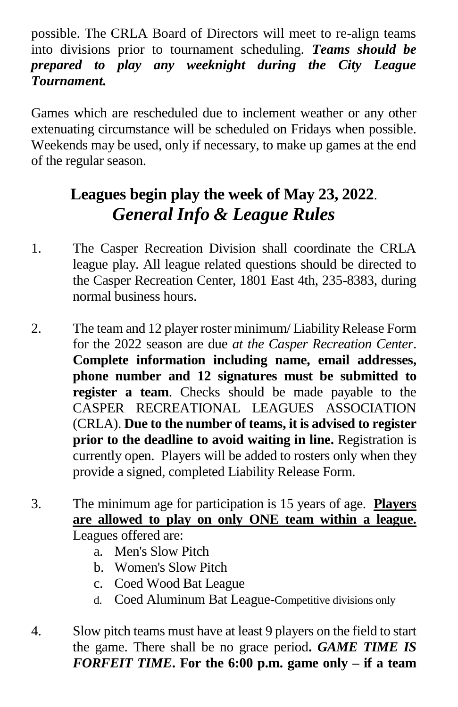possible. The CRLA Board of Directors will meet to re-align teams into divisions prior to tournament scheduling. *Teams should be prepared to play any weeknight during the City League Tournament.*

Games which are rescheduled due to inclement weather or any other extenuating circumstance will be scheduled on Fridays when possible. Weekends may be used, only if necessary, to make up games at the end of the regular season.

## **Leagues begin play the week of May 23, 2022**. *General Info & League Rules*

- 1. The Casper Recreation Division shall coordinate the CRLA league play. All league related questions should be directed to the Casper Recreation Center, 1801 East 4th, 235-8383, during normal business hours.
- 2. The team and 12 player roster minimum/ Liability Release Form for the 2022 season are due *at the Casper Recreation Center*. **Complete information including name, email addresses, phone number and 12 signatures must be submitted to register a team**. Checks should be made payable to the CASPER RECREATIONAL LEAGUES ASSOCIATION (CRLA). **Due to the number of teams, it is advised to register prior to the deadline to avoid waiting in line.** Registration is currently open.Players will be added to rosters only when they provide a signed, completed Liability Release Form.
- 3. The minimum age for participation is 15 years of age. **Players are allowed to play on only ONE team within a league.** Leagues offered are:
	- a. Men's Slow Pitch
	- b. Women's Slow Pitch
	- c. Coed Wood Bat League
	- d. Coed Aluminum Bat League-Competitive divisions only
- 4. Slow pitch teams must have at least 9 players on the field to start the game. There shall be no grace period**.** *GAME TIME IS FORFEIT TIME***. For the 6:00 p.m. game only – if a team**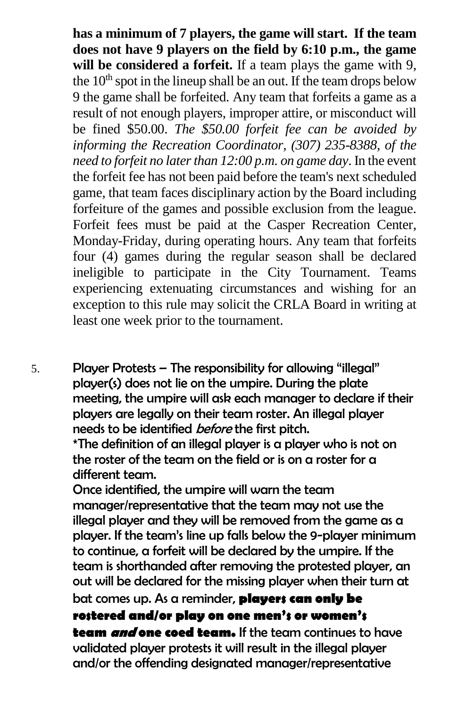**has a minimum of 7 players, the game will start. If the team does not have 9 players on the field by 6:10 p.m., the game will be considered a forfeit.** If a team plays the game with 9, the  $10<sup>th</sup>$  spot in the lineup shall be an out. If the team drops below 9 the game shall be forfeited. Any team that forfeits a game as a result of not enough players, improper attire, or misconduct will be fined \$50.00. *The \$50.00 forfeit fee can be avoided by informing the Recreation Coordinator, (307) 235-8388, of the need to forfeit no later than 12:00 p.m. on game day*. In the event the forfeit fee has not been paid before the team's next scheduled game, that team faces disciplinary action by the Board including forfeiture of the games and possible exclusion from the league. Forfeit fees must be paid at the Casper Recreation Center, Monday-Friday, during operating hours. Any team that forfeits four (4) games during the regular season shall be declared ineligible to participate in the City Tournament. Teams experiencing extenuating circumstances and wishing for an exception to this rule may solicit the CRLA Board in writing at least one week prior to the tournament.

5. Player Protests – The responsibility for allowing "illegal" player(s) does not lie on the umpire. During the plate meeting, the umpire will ask each manager to declare if their players are legally on their team roster. An illegal player needs to be identified *before* the first pitch.

\*The definition of an illegal player is a player who is not on the roster of the team on the field or is on a roster for a different team.

Once identified, the umpire will warn the team manager/representative that the team may not use the illegal player and they will be removed from the game as a player. If the team's line up falls below the 9-player minimum to continue, a forfeit will be declared by the umpire. If the team is shorthanded after removing the protested player, an out will be declared for the missing player when their turn at bat comes up. As a reminder, **players can only be rostered and/or play on one men's or women's team and one coed team.** If the team continues to have validated player protests it will result in the illegal player

and/or the offending designated manager/representative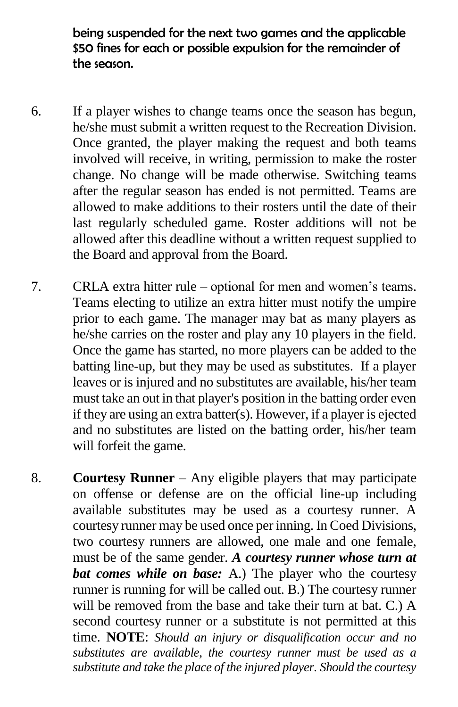being suspended for the next two games and the applicable \$50 fines for each or possible expulsion for the remainder of the season.

- 6. If a player wishes to change teams once the season has begun, he/she must submit a written request to the Recreation Division. Once granted, the player making the request and both teams involved will receive, in writing, permission to make the roster change. No change will be made otherwise. Switching teams after the regular season has ended is not permitted. Teams are allowed to make additions to their rosters until the date of their last regularly scheduled game. Roster additions will not be allowed after this deadline without a written request supplied to the Board and approval from the Board.
- 7. CRLA extra hitter rule optional for men and women's teams. Teams electing to utilize an extra hitter must notify the umpire prior to each game. The manager may bat as many players as he/she carries on the roster and play any 10 players in the field. Once the game has started, no more players can be added to the batting line-up, but they may be used as substitutes. If a player leaves or is injured and no substitutes are available, his/her team must take an out in that player's position in the batting order even if they are using an extra batter(s). However, if a player is ejected and no substitutes are listed on the batting order, his/her team will forfeit the game.
- 8. **Courtesy Runner** Any eligible players that may participate on offense or defense are on the official line-up including available substitutes may be used as a courtesy runner. A courtesy runner may be used once per inning. In Coed Divisions, two courtesy runners are allowed, one male and one female, must be of the same gender. *A courtesy runner whose turn at bat comes while on base:* A.) The player who the courtesy runner is running for will be called out. B.) The courtesy runner will be removed from the base and take their turn at bat. C.) A second courtesy runner or a substitute is not permitted at this time. **NOTE**: *Should an injury or disqualification occur and no substitutes are available, the courtesy runner must be used as a substitute and take the place of the injured player. Should the courtesy*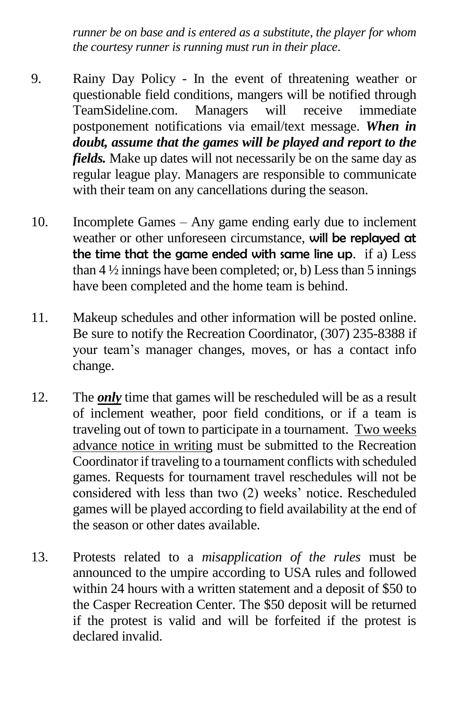*runner be on base and is entered as a substitute, the player for whom the courtesy runner is running must run in their place*.

- 9. Rainy Day Policy In the event of threatening weather or questionable field conditions, mangers will be notified through TeamSideline.com. Managers will receive immediate postponement notifications via email/text message. *When in doubt, assume that the games will be played and report to the fields.* Make up dates will not necessarily be on the same day as regular league play. Managers are responsible to communicate with their team on any cancellations during the season.
- 10. Incomplete Games Any game ending early due to inclement weather or other unforeseen circumstance, will be replayed at the time that the game ended with same line up. if a) Less than  $4\frac{1}{2}$  innings have been completed; or, b) Less than 5 innings have been completed and the home team is behind.
- 11. Makeup schedules and other information will be posted online. Be sure to notify the Recreation Coordinator, (307) 235-8388 if your team's manager changes, moves, or has a contact info change.
- 12. The *only* time that games will be rescheduled will be as a result of inclement weather, poor field conditions, or if a team is traveling out of town to participate in a tournament. Two weeks advance notice in writing must be submitted to the Recreation Coordinator if traveling to a tournament conflicts with scheduled games. Requests for tournament travel reschedules will not be considered with less than two (2) weeks' notice. Rescheduled games will be played according to field availability at the end of the season or other dates available.
- 13. Protests related to a *misapplication of the rules* must be announced to the umpire according to USA rules and followed within 24 hours with a written statement and a deposit of \$50 to the Casper Recreation Center. The \$50 deposit will be returned if the protest is valid and will be forfeited if the protest is declared invalid.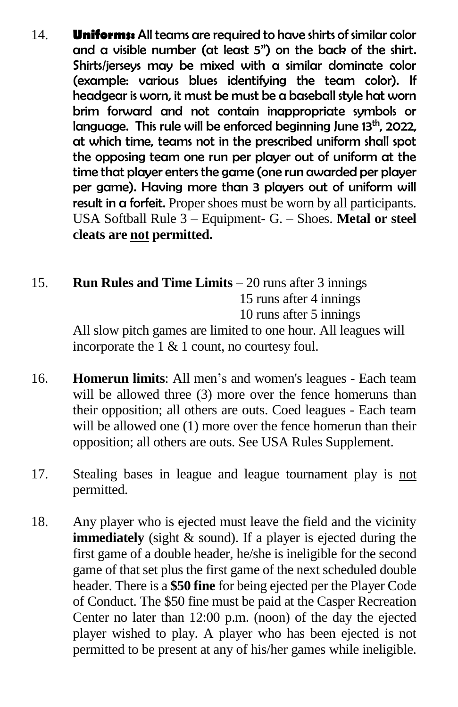- 14. **Uniforms:** All teams are required to have shirts of similar color and a visible number (at least 5") on the back of the shirt. Shirts/jerseys may be mixed with a similar dominate color (example: various blues identifying the team color). If headgear is worn, it must be must be a baseball style hat worn brim forward and not contain inappropriate symbols or language. This rule will be enforced beginning June 13<sup>th</sup>, 2022, at which time, teams not in the prescribed uniform shall spot the opposing team one run per player out of uniform at the time that player enters the game (one run awarded per player per game). Having more than 3 players out of uniform will result in a forfeit. Proper shoes must be worn by all participants. USA Softball Rule 3 – Equipment- G. – Shoes. **Metal or steel cleats are not permitted.**
- 15. **Run Rules and Time Limits** 20 runs after 3 innings 15 runs after 4 innings 10 runs after 5 innings

All slow pitch games are limited to one hour. All leagues will incorporate the 1 & 1 count, no courtesy foul.

- 16. **Homerun limits**: All men's and women's leagues Each team will be allowed three (3) more over the fence homeruns than their opposition; all others are outs. Coed leagues - Each team will be allowed one (1) more over the fence homerun than their opposition; all others are outs. See USA Rules Supplement.
- 17. Stealing bases in league and league tournament play is not permitted.
- 18. Any player who is ejected must leave the field and the vicinity **immediately** (sight & sound). If a player is ejected during the first game of a double header, he/she is ineligible for the second game of that set plus the first game of the next scheduled double header. There is a **\$50 fine** for being ejected per the Player Code of Conduct. The \$50 fine must be paid at the Casper Recreation Center no later than 12:00 p.m. (noon) of the day the ejected player wished to play. A player who has been ejected is not permitted to be present at any of his/her games while ineligible.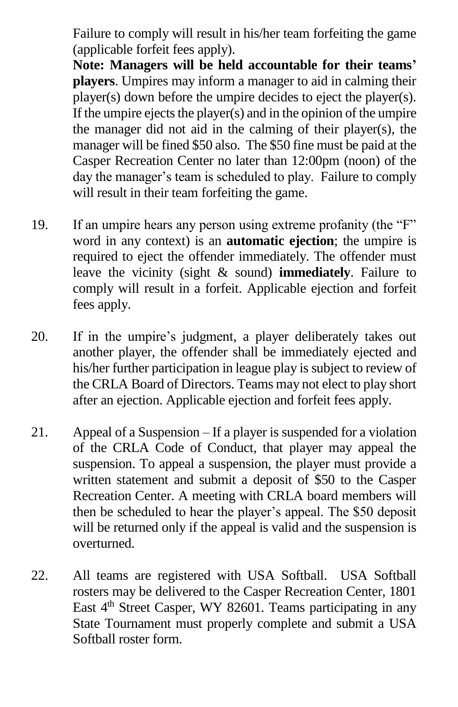Failure to comply will result in his/her team forfeiting the game (applicable forfeit fees apply).

**Note: Managers will be held accountable for their teams' players**. Umpires may inform a manager to aid in calming their player(s) down before the umpire decides to eject the player(s). If the umpire ejects the player(s) and in the opinion of the umpire the manager did not aid in the calming of their player(s), the manager will be fined \$50 also. The \$50 fine must be paid at the Casper Recreation Center no later than 12:00pm (noon) of the day the manager's team is scheduled to play. Failure to comply will result in their team forfeiting the game.

- 19. If an umpire hears any person using extreme profanity (the "F" word in any context) is an **automatic ejection**; the umpire is required to eject the offender immediately. The offender must leave the vicinity (sight & sound) **immediately**. Failure to comply will result in a forfeit. Applicable ejection and forfeit fees apply.
- 20. If in the umpire's judgment, a player deliberately takes out another player, the offender shall be immediately ejected and his/her further participation in league play is subject to review of the CRLA Board of Directors. Teams may not elect to play short after an ejection. Applicable ejection and forfeit fees apply.
- 21. Appeal of a Suspension If a player is suspended for a violation of the CRLA Code of Conduct, that player may appeal the suspension. To appeal a suspension, the player must provide a written statement and submit a deposit of \$50 to the Casper Recreation Center. A meeting with CRLA board members will then be scheduled to hear the player's appeal. The \$50 deposit will be returned only if the appeal is valid and the suspension is overturned.
- 22. All teams are registered with USA Softball. USA Softball rosters may be delivered to the Casper Recreation Center, 1801 East 4<sup>th</sup> Street Casper, WY 82601. Teams participating in any State Tournament must properly complete and submit a USA Softball roster form.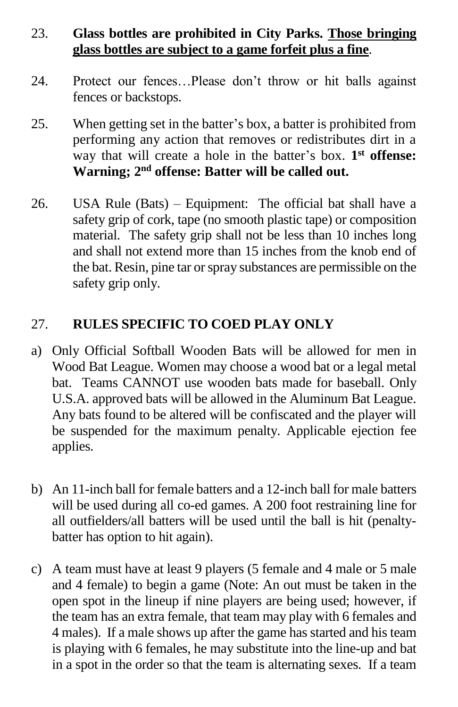#### 23. **Glass bottles are prohibited in City Parks. Those bringing glass bottles are subject to a game forfeit plus a fine**.

- 24. Protect our fences…Please don't throw or hit balls against fences or backstops.
- 25. When getting set in the batter's box, a batter is prohibited from performing any action that removes or redistributes dirt in a way that will create a hole in the batter's box. **1 st offense: Warning; 2 nd offense: Batter will be called out.**
- 26. USA Rule (Bats) Equipment: The official bat shall have a safety grip of cork, tape (no smooth plastic tape) or composition material. The safety grip shall not be less than 10 inches long and shall not extend more than 15 inches from the knob end of the bat. Resin, pine tar or spray substances are permissible on the safety grip only.

#### 27. **RULES SPECIFIC TO COED PLAY ONLY**

- a) Only Official Softball Wooden Bats will be allowed for men in Wood Bat League. Women may choose a wood bat or a legal metal bat. Teams CANNOT use wooden bats made for baseball. Only U.S.A. approved bats will be allowed in the Aluminum Bat League. Any bats found to be altered will be confiscated and the player will be suspended for the maximum penalty. Applicable ejection fee applies.
- b) An 11-inch ball for female batters and a 12-inch ball for male batters will be used during all co-ed games. A 200 foot restraining line for all outfielders/all batters will be used until the ball is hit (penaltybatter has option to hit again).
- c) A team must have at least 9 players (5 female and 4 male or 5 male and 4 female) to begin a game (Note: An out must be taken in the open spot in the lineup if nine players are being used; however, if the team has an extra female, that team may play with 6 females and 4 males). If a male shows up after the game has started and his team is playing with 6 females, he may substitute into the line-up and bat in a spot in the order so that the team is alternating sexes. If a team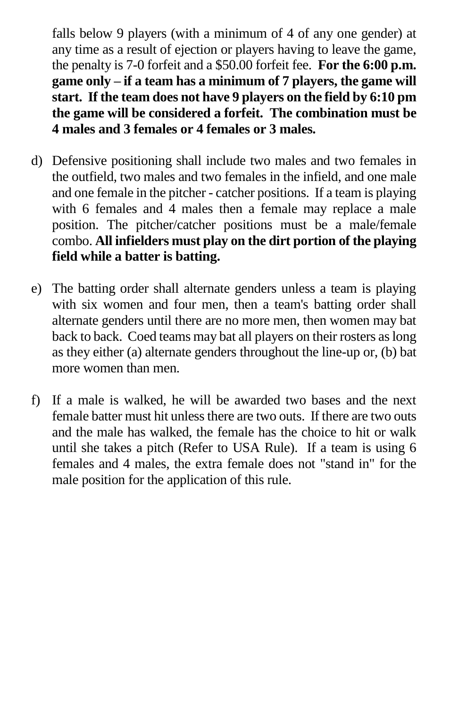falls below 9 players (with a minimum of 4 of any one gender) at any time as a result of ejection or players having to leave the game, the penalty is 7-0 forfeit and a \$50.00 forfeit fee. **For the 6:00 p.m. game only – if a team has a minimum of 7 players, the game will start. If the team does not have 9 players on the field by 6:10 pm the game will be considered a forfeit. The combination must be 4 males and 3 females or 4 females or 3 males.**

- d) Defensive positioning shall include two males and two females in the outfield, two males and two females in the infield, and one male and one female in the pitcher - catcher positions. If a team is playing with 6 females and 4 males then a female may replace a male position. The pitcher/catcher positions must be a male/female combo. **All infielders must play on the dirt portion of the playing field while a batter is batting.**
- e) The batting order shall alternate genders unless a team is playing with six women and four men, then a team's batting order shall alternate genders until there are no more men, then women may bat back to back. Coed teams may bat all players on their rosters as long as they either (a) alternate genders throughout the line-up or, (b) bat more women than men.
- f) If a male is walked, he will be awarded two bases and the next female batter must hit unless there are two outs. If there are two outs and the male has walked, the female has the choice to hit or walk until she takes a pitch (Refer to USA Rule). If a team is using 6 females and 4 males, the extra female does not "stand in" for the male position for the application of this rule.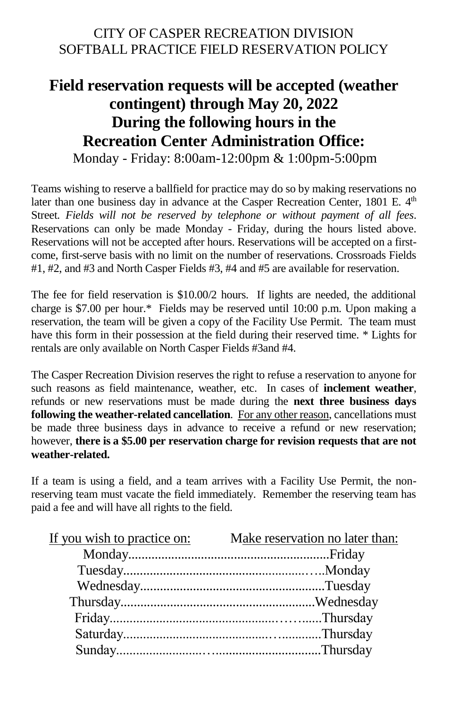#### CITY OF CASPER RECREATION DIVISION SOFTBALL PRACTICE FIELD RESERVATION POLICY

### **Field reservation requests will be accepted (weather contingent) through May 20, 2022 During the following hours in the Recreation Center Administration Office:** Monday - Friday: 8:00am-12:00pm & 1:00pm-5:00pm

Teams wishing to reserve a ballfield for practice may do so by making reservations no later than one business day in advance at the Casper Recreation Center, 1801 E. 4<sup>th</sup> Street. *Fields will not be reserved by telephone or without payment of all fees*. Reservations can only be made Monday - Friday, during the hours listed above. Reservations will not be accepted after hours. Reservations will be accepted on a firstcome, first-serve basis with no limit on the number of reservations. Crossroads Fields #1, #2, and #3 and North Casper Fields #3, #4 and #5 are available for reservation.

The fee for field reservation is \$10.00/2 hours. If lights are needed, the additional charge is \$7.00 per hour.\* Fields may be reserved until 10:00 p.m. Upon making a reservation, the team will be given a copy of the Facility Use Permit. The team must have this form in their possession at the field during their reserved time. \* Lights for rentals are only available on North Casper Fields #3and #4.

The Casper Recreation Division reserves the right to refuse a reservation to anyone for such reasons as field maintenance, weather, etc. In cases of **inclement weather**, refunds or new reservations must be made during the **next three business days following the weather-related cancellation**. For any other reason, cancellations must be made three business days in advance to receive a refund or new reservation; however, **there is a \$5.00 per reservation charge for revision requests that are not weather-related.**

If a team is using a field, and a team arrives with a Facility Use Permit, the nonreserving team must vacate the field immediately. Remember the reserving team has paid a fee and will have all rights to the field.

| If you wish to practice on: | Make reservation no later than: |
|-----------------------------|---------------------------------|
|                             |                                 |
|                             |                                 |
|                             |                                 |
|                             |                                 |
|                             |                                 |
|                             |                                 |
|                             |                                 |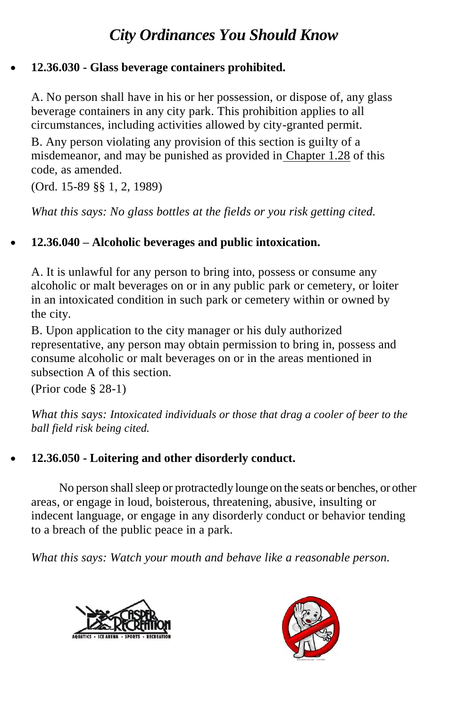## *City Ordinances You Should Know*

#### • **12.36.030 - Glass beverage containers prohibited.**

A. No person shall have in his or her possession, or dispose of, any glass beverage containers in any city park. This prohibition applies to all circumstances, including activities allowed by city-granted permit.

B. Any person violating any provision of this section is guilty of a misdemeanor, and may be punished as provided in [Chapter 1.28](https://www.municode.com/library/wy/casper/codes/code_of_ordinances?nodeId=TIT1GEPR_CH1.28GEPE) of this code, as amended.

(Ord. 15-89 §§ 1, 2, 1989)

*What this says: No glass bottles at the fields or you risk getting cited.*

#### • **12.36.040 – Alcoholic beverages and public intoxication.**

A. It is unlawful for any person to bring into, possess or consume any alcoholic or malt beverages on or in any public park or cemetery, or loiter in an intoxicated condition in such park or cemetery within or owned by the city.

B. Upon application to the city manager or his duly authorized representative, any person may obtain permission to bring in, possess and consume alcoholic or malt beverages on or in the areas mentioned in subsection A of this section.

(Prior code § 28-1)

*What this says: Intoxicated individuals or those that drag a cooler of beer to the ball field risk being cited.*

#### • **12.36.050 - Loitering and other disorderly conduct.**

No person shall sleep or protractedly lounge on the seats or benches, or other areas, or engage in loud, boisterous, threatening, abusive, insulting or indecent language, or engage in any disorderly conduct or behavior tending to a breach of the public peace in a park.

*What this says: Watch your mouth and behave like a reasonable person.*



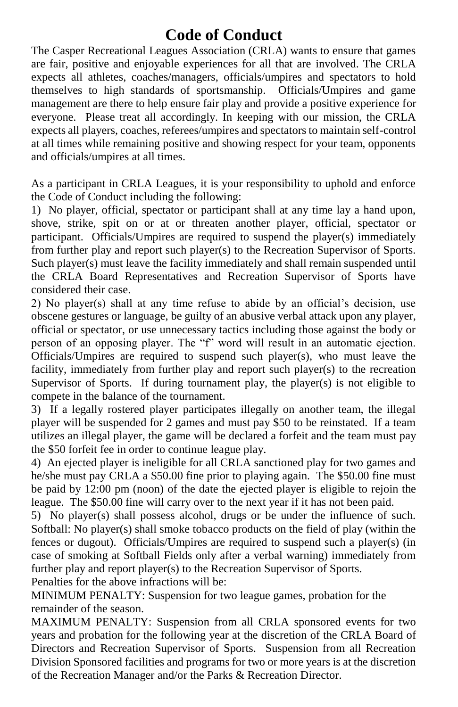## **Code of Conduct**

The Casper Recreational Leagues Association (CRLA) wants to ensure that games are fair, positive and enjoyable experiences for all that are involved. The CRLA expects all athletes, coaches/managers, officials/umpires and spectators to hold themselves to high standards of sportsmanship. Officials/Umpires and game management are there to help ensure fair play and provide a positive experience for everyone. Please treat all accordingly. In keeping with our mission, the CRLA expects all players, coaches, referees/umpires and spectators to maintain self-control at all times while remaining positive and showing respect for your team, opponents and officials/umpires at all times.

As a participant in CRLA Leagues, it is your responsibility to uphold and enforce the Code of Conduct including the following:

1) No player, official, spectator or participant shall at any time lay a hand upon, shove, strike, spit on or at or threaten another player, official, spectator or participant. Officials/Umpires are required to suspend the player(s) immediately from further play and report such player(s) to the Recreation Supervisor of Sports. Such player(s) must leave the facility immediately and shall remain suspended until the CRLA Board Representatives and Recreation Supervisor of Sports have considered their case.

2) No player(s) shall at any time refuse to abide by an official's decision, use obscene gestures or language, be guilty of an abusive verbal attack upon any player, official or spectator, or use unnecessary tactics including those against the body or person of an opposing player. The "f" word will result in an automatic ejection. Officials/Umpires are required to suspend such player(s), who must leave the facility, immediately from further play and report such player(s) to the recreation Supervisor of Sports. If during tournament play, the player(s) is not eligible to compete in the balance of the tournament.

3) If a legally rostered player participates illegally on another team, the illegal player will be suspended for 2 games and must pay \$50 to be reinstated. If a team utilizes an illegal player, the game will be declared a forfeit and the team must pay the \$50 forfeit fee in order to continue league play.

4) An ejected player is ineligible for all CRLA sanctioned play for two games and he/she must pay CRLA a \$50.00 fine prior to playing again. The \$50.00 fine must be paid by 12:00 pm (noon) of the date the ejected player is eligible to rejoin the league. The \$50.00 fine will carry over to the next year if it has not been paid.

5) No player(s) shall possess alcohol, drugs or be under the influence of such. Softball: No player(s) shall smoke tobacco products on the field of play (within the fences or dugout). Officials/Umpires are required to suspend such a player(s) (in case of smoking at Softball Fields only after a verbal warning) immediately from further play and report player(s) to the Recreation Supervisor of Sports.

Penalties for the above infractions will be:

MINIMUM PENALTY: Suspension for two league games, probation for the remainder of the season.

MAXIMUM PENALTY: Suspension from all CRLA sponsored events for two years and probation for the following year at the discretion of the CRLA Board of Directors and Recreation Supervisor of Sports. Suspension from all Recreation Division Sponsored facilities and programs for two or more years is at the discretion of the Recreation Manager and/or the Parks & Recreation Director.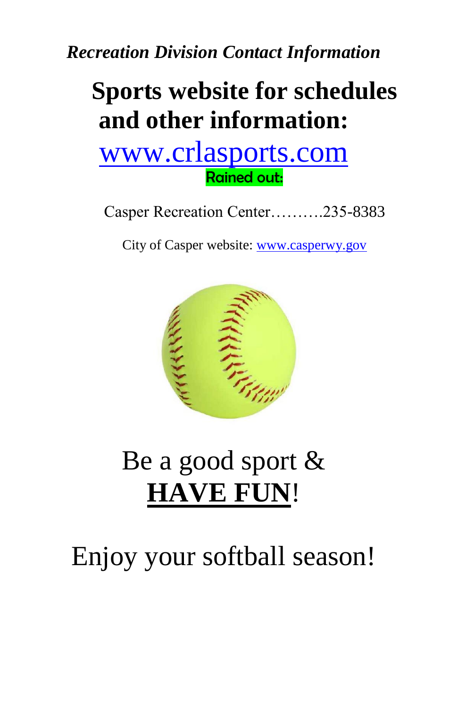*Recreation Division Contact Information*

## **Sports website for schedules and other information:**

## [www.crlasports.com](http://www.eteamz.com/casper) Rained out:

Casper Recreation Center……….235-8383

City of Casper website: [www.casperwy.gov](http://www.cityofcasperwy.com/)



## Be a good sport & **HAVE FUN**!

## Enjoy your softball season!